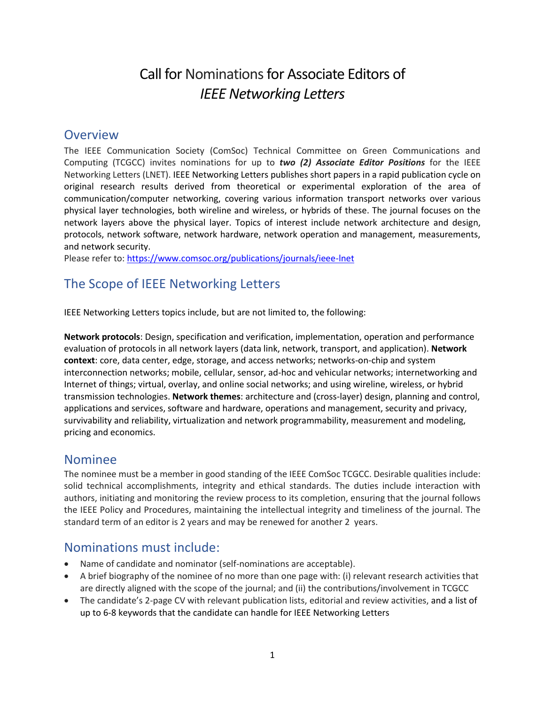# Call for Nominations for Associate Editors of *IEEE Networking Letters*

# **Overview**

The IEEE Communication Society (ComSoc) Technical Committee on Green Communications and Computing (TCGCC) invites nominations for up to *two (2) Associate Editor Positions* for the IEEE Networking Letters (LNET). IEEE Networking Letters publishes short papers in a rapid publication cycle on original research results derived from theoretical or experimental exploration of the area of communication/computer networking, covering various information transport networks over various physical layer technologies, both wireline and wireless, or hybrids of these. The journal focuses on the network layers above the physical layer. Topics of interest include network architecture and design, protocols, network software, network hardware, network operation and management, measurements, and network security.

Please refer to: <https://www.comsoc.org/publications/journals/ieee-lnet>

# The Scope of IEEE Networking Letters

IEEE Networking Letters topics include, but are not limited to, the following:

**Network protocols**: Design, specification and verification, implementation, operation and performance evaluation of protocols in all network layers (data link, network, transport, and application). **Network context**: core, data center, edge, storage, and access networks; networks-on-chip and system interconnection networks; mobile, cellular, sensor, ad-hoc and vehicular networks; internetworking and Internet of things; virtual, overlay, and online social networks; and using wireline, wireless, or hybrid transmission technologies. **Network themes**: architecture and (cross-layer) design, planning and control, applications and services, software and hardware, operations and management, security and privacy, survivability and reliability, virtualization and network programmability, measurement and modeling, pricing and economics.

#### Nominee

The nominee must be a member in good standing of the IEEE ComSoc TCGCC. Desirable qualities include: solid technical accomplishments, integrity and ethical standards. The duties include interaction with authors, initiating and monitoring the review process to its completion, ensuring that the journal follows the IEEE Policy and Procedures, maintaining the intellectual integrity and timeliness of the journal. The standard term of an editor is 2 years and may be renewed for another 2 years.

# Nominations must include:

- Name of candidate and nominator (self-nominations are acceptable).
- A brief biography of the nominee of no more than one page with: (i) relevant research activities that are directly aligned with the scope of the journal; and (ii) the contributions/involvement in TCGCC
- The candidate's 2-page CV with relevant publication lists, editorial and review activities, and a list of up to 6-8 keywords that the candidate can handle for IEEE Networking Letters